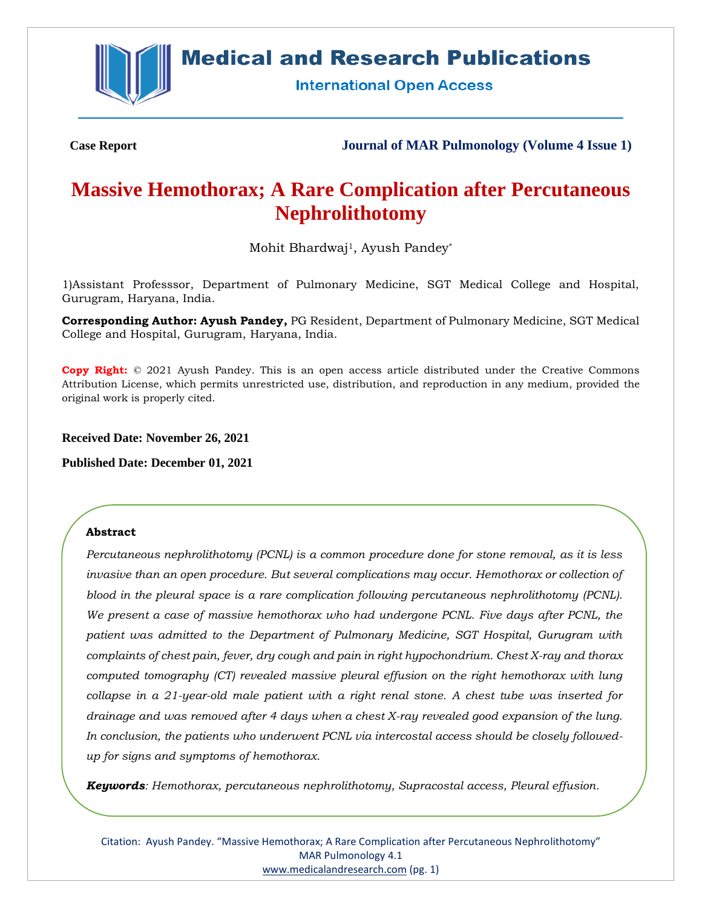

# **Medical and Research Publications**

**International Open Access** 

**Case Report Journal of MAR Pulmonology (Volume 4 Issue 1)**

# **Massive Hemothorax; A Rare Complication after Percutaneous Nephrolithotomy**

Mohit Bhardwaj1, Ayush Pandey\*

1)Assistant Professsor, Department of Pulmonary Medicine, SGT Medical College and Hospital, Gurugram, Haryana, India.

**Corresponding Author: Ayush Pandey,** PG Resident, Department of Pulmonary Medicine, SGT Medical College and Hospital, Gurugram, Haryana, India.

**Copy Right:** © 2021 Ayush Pandey. This is an open access article distributed under the Creative Commons Attribution License, which permits unrestricted use, distribution, and reproduction in any medium, provided the original work is properly cited.

**Received Date: November 26, 2021**

**Published Date: December 01, 2021**

## **Abstract**

*Percutaneous nephrolithotomy (PCNL) is a common procedure done for stone removal, as it is less invasive than an open procedure. But several complications may occur. Hemothorax or collection of blood in the pleural space is a rare complication following percutaneous nephrolithotomy (PCNL). We present a case of massive hemothorax who had undergone PCNL. Five days after PCNL, the patient was admitted to the Department of Pulmonary Medicine, SGT Hospital, Gurugram with complaints of chest pain, fever, dry cough and pain in right hypochondrium. Chest X-ray and thorax computed tomography (CT) revealed massive pleural effusion on the right hemothorax with lung collapse in a 21-year-old male patient with a right renal stone. A chest tube was inserted for drainage and was removed after 4 days when a chest X-ray revealed good expansion of the lung. In conclusion, the patients who underwent PCNL via intercostal access should be closely followedup for signs and symptoms of hemothorax.*

*Keywords: Hemothorax, percutaneous nephrolithotomy, Supracostal access, Pleural effusion.*

Citation: Ayush Pandey. "Massive Hemothorax; A Rare Complication after Percutaneous Nephrolithotomy" MAR Pulmonology 4.1 [www.medicalandresearch.com](http://www.medicalandresearch.com/) (pg. 1)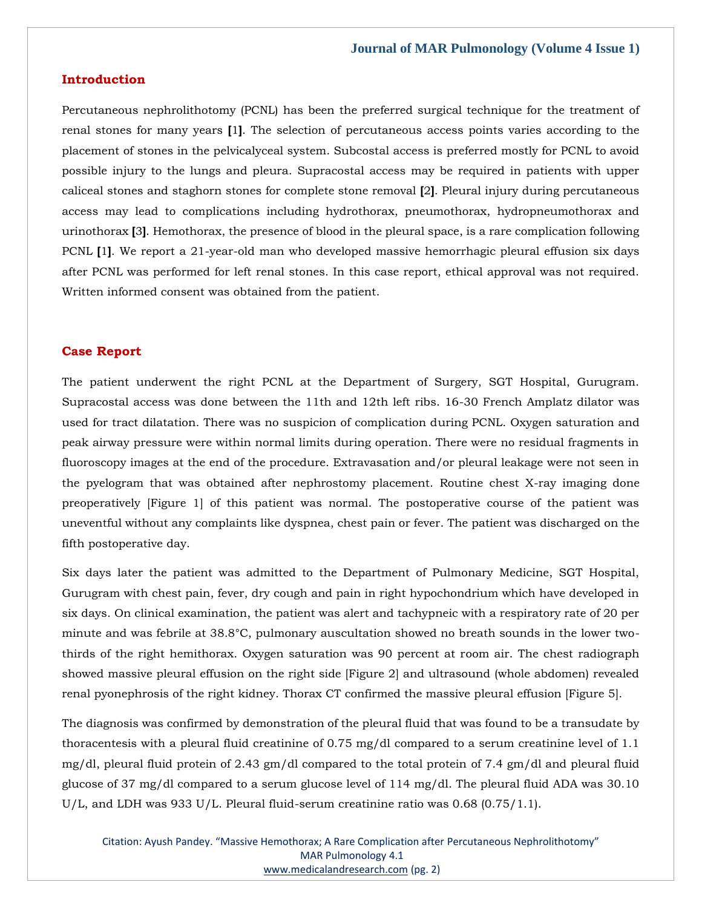#### **Introduction**

Percutaneous nephrolithotomy (PCNL) has been the preferred surgical technique for the treatment of renal stones for many years **[**1**]**. The selection of percutaneous access points varies according to the placement of stones in the pelvicalyceal system. Subcostal access is preferred mostly for PCNL to avoid possible injury to the lungs and pleura. Supracostal access may be required in patients with upper caliceal stones and staghorn stones for complete stone removal **[**2**]**. Pleural injury during percutaneous access may lead to complications including hydrothorax, pneumothorax, hydropneumothorax and urinothorax **[**3**]**. Hemothorax, the presence of blood in the pleural space, is a rare complication following PCNL **[**1**]**. We report a 21-year-old man who developed massive hemorrhagic pleural effusion six days after PCNL was performed for left renal stones. In this case report, ethical approval was not required. Written informed consent was obtained from the patient.

#### **Case Report**

The patient underwent the right PCNL at the Department of Surgery, SGT Hospital, Gurugram. Supracostal access was done between the 11th and 12th left ribs. 16-30 French Amplatz dilator was used for tract dilatation. There was no suspicion of complication during PCNL. Oxygen saturation and peak airway pressure were within normal limits during operation. There were no residual fragments in fluoroscopy images at the end of the procedure. Extravasation and/or pleural leakage were not seen in the pyelogram that was obtained after nephrostomy placement. Routine chest X-ray imaging done preoperatively [Figure 1] of this patient was normal. The postoperative course of the patient was uneventful without any complaints like dyspnea, chest pain or fever. The patient was discharged on the fifth postoperative day.

Six days later the patient was admitted to the Department of Pulmonary Medicine, SGT Hospital, Gurugram with chest pain, fever, dry cough and pain in right hypochondrium which have developed in six days. On clinical examination, the patient was alert and tachypneic with a respiratory rate of 20 per minute and was febrile at 38.8°C, pulmonary auscultation showed no breath sounds in the lower twothirds of the right hemithorax. Oxygen saturation was 90 percent at room air. The chest radiograph showed massive pleural effusion on the right side [Figure 2] and ultrasound (whole abdomen) revealed renal pyonephrosis of the right kidney. Thorax CT confirmed the massive pleural effusion [Figure 5].

The diagnosis was confirmed by demonstration of the pleural fluid that was found to be a transudate by thoracentesis with a pleural fluid creatinine of 0.75 mg/dl compared to a serum creatinine level of 1.1 mg/dl, pleural fluid protein of 2.43 gm/dl compared to the total protein of 7.4 gm/dl and pleural fluid glucose of 37 mg/dl compared to a serum glucose level of 114 mg/dl. The pleural fluid ADA was 30.10 U/L, and LDH was 933 U/L. Pleural fluid-serum creatinine ratio was 0.68 (0.75/1.1).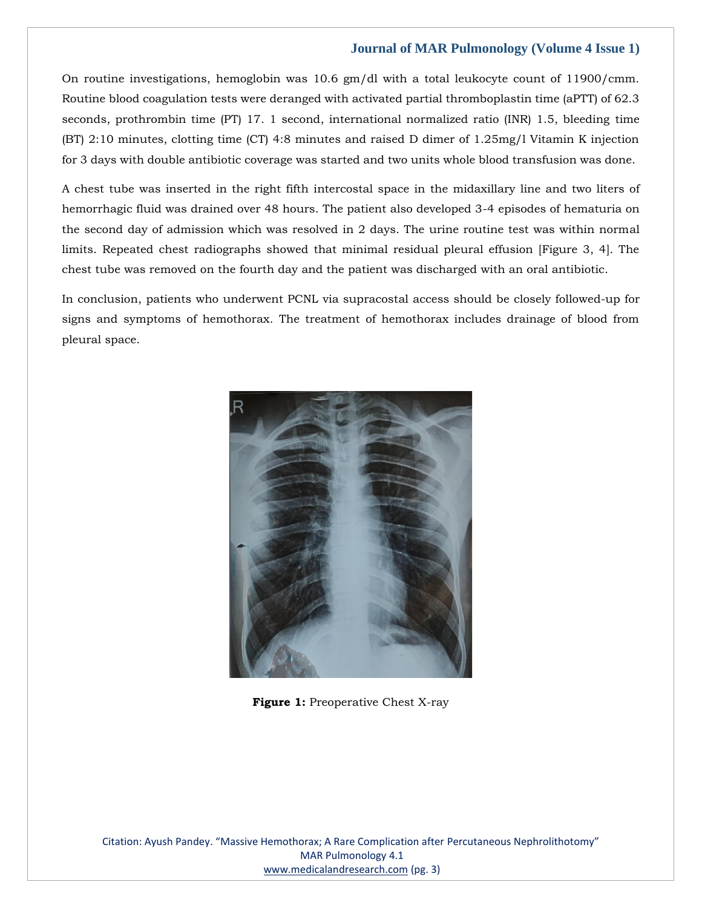On routine investigations, hemoglobin was 10.6 gm/dl with a total leukocyte count of 11900/cmm. Routine blood coagulation tests were deranged with activated partial thromboplastin time (aPTT) of 62.3 seconds, prothrombin time (PT) 17. 1 second, international normalized ratio (INR) 1.5, bleeding time (BT) 2:10 minutes, clotting time (CT) 4:8 minutes and raised D dimer of 1.25mg/l Vitamin K injection for 3 days with double antibiotic coverage was started and two units whole blood transfusion was done.

A chest tube was inserted in the right fifth intercostal space in the midaxillary line and two liters of hemorrhagic fluid was drained over 48 hours. The patient also developed 3-4 episodes of hematuria on the second day of admission which was resolved in 2 days. The urine routine test was within normal limits. Repeated chest radiographs showed that minimal residual pleural effusion [Figure 3, 4]. The chest tube was removed on the fourth day and the patient was discharged with an oral antibiotic.

In conclusion, patients who underwent PCNL via supracostal access should be closely followed-up for signs and symptoms of hemothorax. The treatment of hemothorax includes drainage of blood from pleural space.



**Figure 1:** Preoperative Chest X-ray

Citation: Ayush Pandey. "Massive Hemothorax; A Rare Complication after Percutaneous Nephrolithotomy" MAR Pulmonology 4.1 [www.medicalandresearch.com](http://www.medicalandresearch.com/) (pg. 3)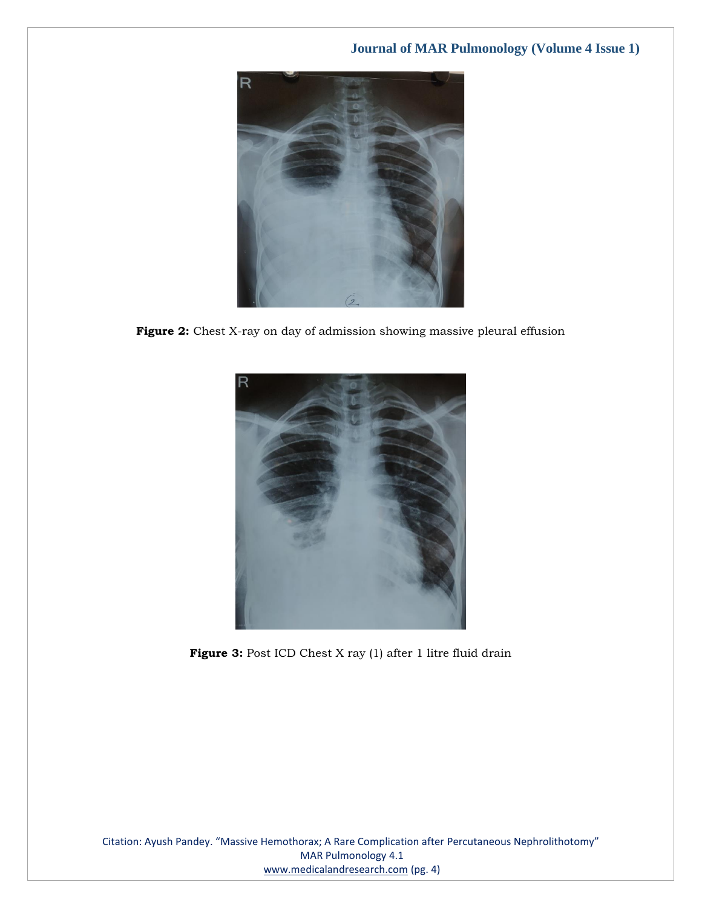

**Figure 2:** Chest X-ray on day of admission showing massive pleural effusion



Figure 3: Post ICD Chest X ray (1) after 1 litre fluid drain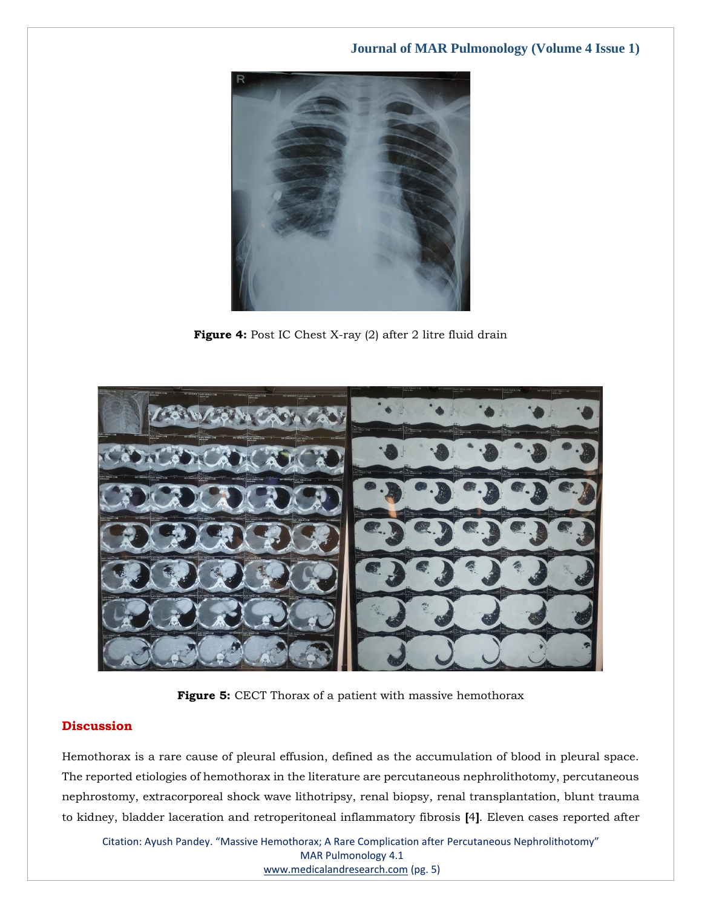

Figure 4: Post IC Chest X-ray (2) after 2 litre fluid drain



**Figure 5:** CECT Thorax of a patient with massive hemothorax

# **Discussion**

Hemothorax is a rare cause of pleural effusion, defined as the accumulation of blood in pleural space. The reported etiologies of hemothorax in the literature are percutaneous nephrolithotomy, percutaneous nephrostomy, extracorporeal shock wave lithotripsy, renal biopsy, renal transplantation, blunt trauma to kidney, bladder laceration and retroperitoneal inflammatory fibrosis **[**4**]**. Eleven cases reported after

Citation: Ayush Pandey. "Massive Hemothorax; A Rare Complication after Percutaneous Nephrolithotomy" MAR Pulmonology 4.1 [www.medicalandresearch.com](http://www.medicalandresearch.com/) (pg. 5)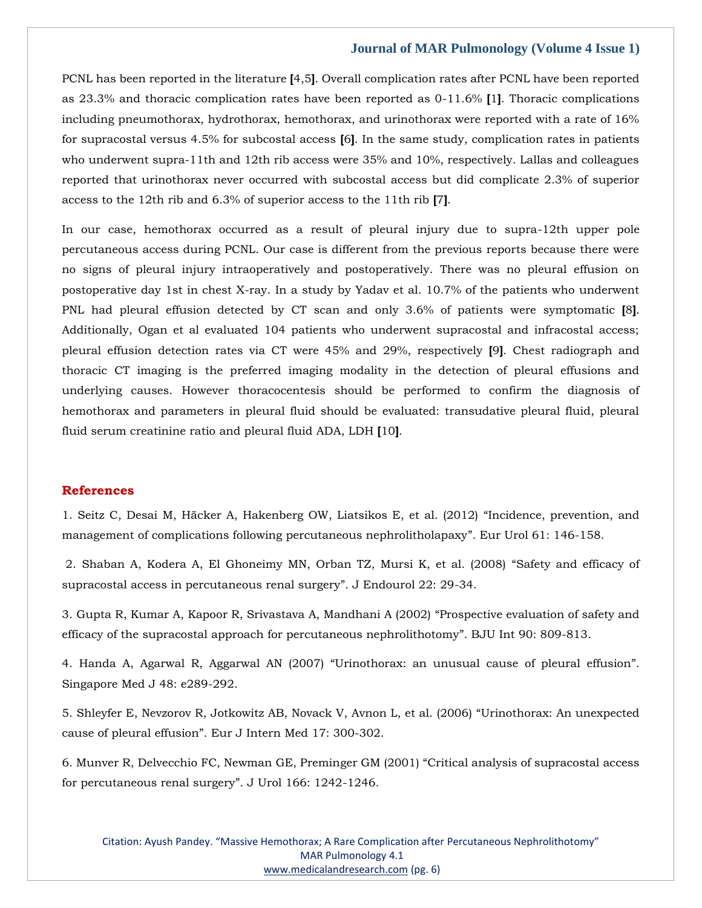PCNL has been reported in the literature **[**4,5**]**. Overall complication rates after PCNL have been reported as 23.3% and thoracic complication rates have been reported as 0-11.6% **[**1**]**. Thoracic complications including pneumothorax, hydrothorax, hemothorax, and urinothorax were reported with a rate of 16% for supracostal versus 4.5% for subcostal access **[**6**]**. In the same study, complication rates in patients who underwent supra-11th and 12th rib access were 35% and 10%, respectively. Lallas and colleagues reported that urinothorax never occurred with subcostal access but did complicate 2.3% of superior access to the 12th rib and 6.3% of superior access to the 11th rib **[**7**]**.

In our case, hemothorax occurred as a result of pleural injury due to supra-12th upper pole percutaneous access during PCNL. Our case is different from the previous reports because there were no signs of pleural injury intraoperatively and postoperatively. There was no pleural effusion on postoperative day 1st in chest X-ray. In a study by Yadav et al. 10.7% of the patients who underwent PNL had pleural effusion detected by CT scan and only 3.6% of patients were symptomatic **[**8**]**. Additionally, Ogan et al evaluated 104 patients who underwent supracostal and infracostal access; pleural effusion detection rates via CT were 45% and 29%, respectively **[**9**]**. Chest radiograph and thoracic CT imaging is the preferred imaging modality in the detection of pleural effusions and underlying causes. However thoracocentesis should be performed to confirm the diagnosis of hemothorax and parameters in pleural fluid should be evaluated: transudative pleural fluid, pleural fluid serum creatinine ratio and pleural fluid ADA, LDH **[**10**]**.

#### **References**

1. [Seitz C, Desai M, Häcker A, Hakenberg OW, Liatsikos E, et al. \(2012\)](https://www.google.com/search?q=Incidence%2C+prevention%2C+and+management+of+complications+following+percutaneous+nephrolitholapaxy&sxsrf=AOaemvIKNnwxUBLEmYXya_RvQjvgr8jr0w%3A1637908787727&ei=M4GgYb_lK7bZz7sP2IKUsA4&ved=0ahUKEwj_yt3btbX0AhW27HMBHVgBBeYQ4dUDCA4&uact=5&oq=Incidence%2C+prevention%2C+and+management+of+complications+following+percutaneous+nephrolitholapaxy&gs_lcp=Cgdnd3Mtd2l6EAMyBggAEBYQHjoHCCMQ6gIQJ0oECEEYAFDBB1jBB2DBCmgBcAJ4AIABvAGIAbwBkgEDMC4xmAEAoAEBoAECsAEKwAEB&sclient=gws-wiz) "Incidence, prevention, and [management of complications following percutaneous nephrolitholapaxy](https://www.google.com/search?q=Incidence%2C+prevention%2C+and+management+of+complications+following+percutaneous+nephrolitholapaxy&sxsrf=AOaemvIKNnwxUBLEmYXya_RvQjvgr8jr0w%3A1637908787727&ei=M4GgYb_lK7bZz7sP2IKUsA4&ved=0ahUKEwj_yt3btbX0AhW27HMBHVgBBeYQ4dUDCA4&uact=5&oq=Incidence%2C+prevention%2C+and+management+of+complications+following+percutaneous+nephrolitholapaxy&gs_lcp=Cgdnd3Mtd2l6EAMyBggAEBYQHjoHCCMQ6gIQJ0oECEEYAFDBB1jBB2DBCmgBcAJ4AIABvAGIAbwBkgEDMC4xmAEAoAEBoAECsAEKwAEB&sclient=gws-wiz)". Eur Urol 61: 146-158.

2. [Shaban A, Kodera A, El Ghoneimy MN, Orban TZ, Mursi K, et al. \(2008\)](https://www.google.com/search?q=Safety+and+efficacy+of+supracostal+access+in+percutaneous+renal+surgery&sxsrf=AOaemvJ6jaQhfcdIu0XGJyw1qrolCv-Kag%3A1637922002216&ei=0rSgYYjgDJifseMPns6zsAs&ved=0ahUKEwiIkfL45rX0AhWYT2wGHR7nDLYQ4dUDCA4&uact=5&oq=Safety+and+efficacy+of+supracostal+access+in+percutaneous+renal+surgery&gs_lcp=Cgdnd3Mtd2l6EAM6BwgjEOoCECdKBAhBGABQtAVYtAVg3wdoAXAAeACAAb8BiAG_AZIBAzAuMZgBAKABAaABArABCsABAQ&sclient=gws-wiz) "Safety and efficacy of [supracostal access in percutaneous renal surgery](https://www.google.com/search?q=Safety+and+efficacy+of+supracostal+access+in+percutaneous+renal+surgery&sxsrf=AOaemvJ6jaQhfcdIu0XGJyw1qrolCv-Kag%3A1637922002216&ei=0rSgYYjgDJifseMPns6zsAs&ved=0ahUKEwiIkfL45rX0AhWYT2wGHR7nDLYQ4dUDCA4&uact=5&oq=Safety+and+efficacy+of+supracostal+access+in+percutaneous+renal+surgery&gs_lcp=Cgdnd3Mtd2l6EAM6BwgjEOoCECdKBAhBGABQtAVYtAVg3wdoAXAAeACAAb8BiAG_AZIBAzAuMZgBAKABAaABArABCsABAQ&sclient=gws-wiz)". J Endourol 22: 29-34.

3. [Gupta R, Kumar A, Kapoor R, Srivastava A, Mandhani A \(2002\)](https://www.google.com/search?q=Prospective+evaluation+of+safety+and+efficacy+of+the+supracostal+approach+for+percutaneous+nephrolithotomy&sxsrf=AOaemvIYO2-n58swvrZW0klkQ9wc07INWA%3A1637922019004&ei=4rSgYc31PLaTseMP2KOHUA&ved=0ahUKEwjN7vKA57X0AhW2SWwGHdjRAQoQ4dUDCA4&uact=5&oq=Prospective+evaluation+of+safety+and+efficacy+of+the+supracostal+approach+for+percutaneous+nephrolithotomy&gs_lcp=Cgdnd3Mtd2l6EAMyBwgjEOoCECcyBwgjEOoCECcyBwgjEOoCECcyBwgjEOoCECcyBwgjEOoCECcyBwgjEOoCECcyBwgjEOoCECcyBwgjEOoCECcyBwgjEOoCECcyBwgjEOoCECdKBAhBGABQkwVYkwVgtAdoAXAAeACAAQCIAQCSAQCYAQCgAQGgAQKwAQrAAQE&sclient=gws-wiz) "Prospective evaluation of safety and [efficacy of the supracostal approach for percutaneous nephrolithotomy](https://www.google.com/search?q=Prospective+evaluation+of+safety+and+efficacy+of+the+supracostal+approach+for+percutaneous+nephrolithotomy&sxsrf=AOaemvIYO2-n58swvrZW0klkQ9wc07INWA%3A1637922019004&ei=4rSgYc31PLaTseMP2KOHUA&ved=0ahUKEwjN7vKA57X0AhW2SWwGHdjRAQoQ4dUDCA4&uact=5&oq=Prospective+evaluation+of+safety+and+efficacy+of+the+supracostal+approach+for+percutaneous+nephrolithotomy&gs_lcp=Cgdnd3Mtd2l6EAMyBwgjEOoCECcyBwgjEOoCECcyBwgjEOoCECcyBwgjEOoCECcyBwgjEOoCECcyBwgjEOoCECcyBwgjEOoCECcyBwgjEOoCECcyBwgjEOoCECcyBwgjEOoCECdKBAhBGABQkwVYkwVgtAdoAXAAeACAAQCIAQCSAQCYAQCgAQGgAQKwAQrAAQE&sclient=gws-wiz)". BJU Int 90: 809-813.

4. Handa A, Agarwal R, Aggarwal AN (2007) "[Urinothorax: an unusual cause of pleural effusion](https://www.google.com/search?q=Urinothorax%3A+an+unusual+cause+of+pleural+effusion&sxsrf=AOaemvJtjT4rqP8MlmQt4-1TFZ-SGo1Kjw%3A1637922035567&ei=87SgYbn9Ib6YseMP_9u_QA&ved=0ahUKEwj5wuWI57X0AhU-TGwGHf_tDwgQ4dUDCA4&uact=5&oq=Urinothorax%3A+an+unusual+cause+of+pleural+effusion&gs_lcp=Cgdnd3Mtd2l6EAM6BwgjEOoCECdKBAhBGABQuQVYuQVg5QdoAXAAeACAAeQBiAHkAZIBAzItMZgBAKABAaABArABCsABAQ&sclient=gws-wiz)". [Singapore Med J 48: e289-292.](https://www.google.com/search?q=Urinothorax%3A+an+unusual+cause+of+pleural+effusion&sxsrf=AOaemvJtjT4rqP8MlmQt4-1TFZ-SGo1Kjw%3A1637922035567&ei=87SgYbn9Ib6YseMP_9u_QA&ved=0ahUKEwj5wuWI57X0AhU-TGwGHf_tDwgQ4dUDCA4&uact=5&oq=Urinothorax%3A+an+unusual+cause+of+pleural+effusion&gs_lcp=Cgdnd3Mtd2l6EAM6BwgjEOoCECdKBAhBGABQuQVYuQVg5QdoAXAAeACAAeQBiAHkAZIBAzItMZgBAKABAaABArABCsABAQ&sclient=gws-wiz)

5. [Shleyfer E, Nevzorov R, Jotkowitz AB, Novack V, Avnon L, et al. \(2006\)](https://www.google.com/search?q=Urinothorax%3A+An+unexpected+cause+of+pleural+effusion&sxsrf=AOaemvLzVfypMmGJp10Z2Vz_8kORPqZfWQ%3A1637922055320&ei=B7WgYb_pEoKWseMPu5SHuAw&ved=0ahUKEwj_iJuS57X0AhUCS2wGHTvKAccQ4dUDCA4&uact=5&oq=Urinothorax%3A+An+unexpected+cause+of+pleural+effusion&gs_lcp=Cgdnd3Mtd2l6EAMyBwgjEOoCECcyBwgjEOoCECcyBwgjEOoCECcyBwgjEOoCECcyBwgjEOoCECcyBwgjEOoCECcyBwgjEOoCECcyBwgjEOoCECcyBwgjEOoCECcyBwgjEOoCECdKBAhBGABQwgVYwgVg5AdoAXACeACAAQCIAQCSAQCYAQCgAQGgAQKwAQrAAQE&sclient=gws-wiz) "Urinothorax: An unexpected cause of pleural effusion"[. Eur J Intern Med 17: 300-302.](https://www.google.com/search?q=Urinothorax%3A+An+unexpected+cause+of+pleural+effusion&sxsrf=AOaemvLzVfypMmGJp10Z2Vz_8kORPqZfWQ%3A1637922055320&ei=B7WgYb_pEoKWseMPu5SHuAw&ved=0ahUKEwj_iJuS57X0AhUCS2wGHTvKAccQ4dUDCA4&uact=5&oq=Urinothorax%3A+An+unexpected+cause+of+pleural+effusion&gs_lcp=Cgdnd3Mtd2l6EAMyBwgjEOoCECcyBwgjEOoCECcyBwgjEOoCECcyBwgjEOoCECcyBwgjEOoCECcyBwgjEOoCECcyBwgjEOoCECcyBwgjEOoCECcyBwgjEOoCECcyBwgjEOoCECdKBAhBGABQwgVYwgVg5AdoAXACeACAAQCIAQCSAQCYAQCgAQGgAQKwAQrAAQE&sclient=gws-wiz)

6. [Munver R, Delvecchio FC, Newman GE, Preminger GM \(2001\)](https://www.google.com/search?q=Critical+analysis+of+supracostal+access+for+percutaneous+renal+surgery&sxsrf=AOaemvKcGYxISkUfADBKqwogNiBrMRcSkg%3A1637922093450&ei=LbWgYazpGt-XseMPuL-jyA0&ved=0ahUKEwjss7Kk57X0AhXfS2wGHbjfCNkQ4dUDCA4&uact=5&oq=Critical+analysis+of+supracostal+access+for+percutaneous+renal+surgery&gs_lcp=Cgdnd3Mtd2l6EAM6BwgjEOoCECdKBAhBGABQygVYygVgtQhoAXAAeACAAbsBiAG7AZIBAzAuMZgBAKABAaABArABCsABAQ&sclient=gws-wiz) "Critical analysis of supracostal access [for percutaneous renal surgery](https://www.google.com/search?q=Critical+analysis+of+supracostal+access+for+percutaneous+renal+surgery&sxsrf=AOaemvKcGYxISkUfADBKqwogNiBrMRcSkg%3A1637922093450&ei=LbWgYazpGt-XseMPuL-jyA0&ved=0ahUKEwjss7Kk57X0AhXfS2wGHbjfCNkQ4dUDCA4&uact=5&oq=Critical+analysis+of+supracostal+access+for+percutaneous+renal+surgery&gs_lcp=Cgdnd3Mtd2l6EAM6BwgjEOoCECdKBAhBGABQygVYygVgtQhoAXAAeACAAbsBiAG7AZIBAzAuMZgBAKABAaABArABCsABAQ&sclient=gws-wiz)". J Urol 166: 1242-1246.

Citation: Ayush Pandey. "Massive Hemothorax; A Rare Complication after Percutaneous Nephrolithotomy" MAR Pulmonology 4.1 [www.medicalandresearch.com](http://www.medicalandresearch.com/) (pg. 6)